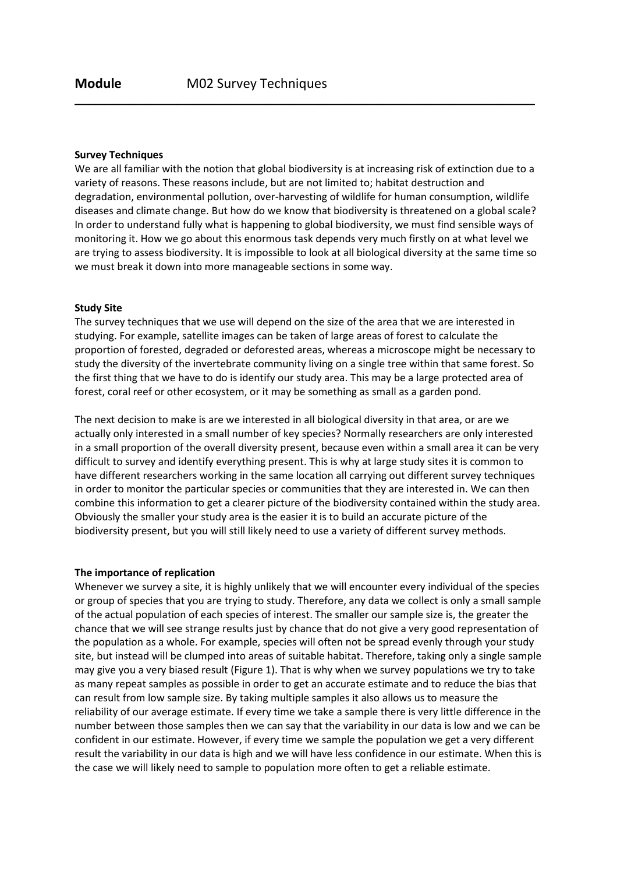### Survey Techniques

We are all familiar with the notion that global biodiversity is at increasing risk of extinction due to a variety of reasons. These reasons include, but are not limited to; habitat destruction and degradation, environmental pollution, over-harvesting of wildlife for human consumption, wildlife diseases and climate change. But how do we know that biodiversity is threatened on a global scale? In order to understand fully what is happening to global biodiversity, we must find sensible ways of monitoring it. How we go about this enormous task depends very much firstly on at what level we are trying to assess biodiversity. It is impossible to look at all biological diversity at the same time so we must break it down into more manageable sections in some way.

\_\_\_\_\_\_\_\_\_\_\_\_\_\_\_\_\_\_\_\_\_\_\_\_\_\_\_\_\_\_\_\_\_\_\_\_\_\_\_\_\_\_\_\_\_\_\_\_\_\_\_\_\_\_\_\_\_\_\_\_\_\_\_\_\_\_\_\_\_\_\_\_\_\_\_\_\_\_\_\_\_

### Study Site

The survey techniques that we use will depend on the size of the area that we are interested in studying. For example, satellite images can be taken of large areas of forest to calculate the proportion of forested, degraded or deforested areas, whereas a microscope might be necessary to study the diversity of the invertebrate community living on a single tree within that same forest. So the first thing that we have to do is identify our study area. This may be a large protected area of forest, coral reef or other ecosystem, or it may be something as small as a garden pond.

The next decision to make is are we interested in all biological diversity in that area, or are we actually only interested in a small number of key species? Normally researchers are only interested in a small proportion of the overall diversity present, because even within a small area it can be very difficult to survey and identify everything present. This is why at large study sites it is common to have different researchers working in the same location all carrying out different survey techniques in order to monitor the particular species or communities that they are interested in. We can then combine this information to get a clearer picture of the biodiversity contained within the study area. Obviously the smaller your study area is the easier it is to build an accurate picture of the biodiversity present, but you will still likely need to use a variety of different survey methods.

#### The importance of replication

Whenever we survey a site, it is highly unlikely that we will encounter every individual of the species or group of species that you are trying to study. Therefore, any data we collect is only a small sample of the actual population of each species of interest. The smaller our sample size is, the greater the chance that we will see strange results just by chance that do not give a very good representation of the population as a whole. For example, species will often not be spread evenly through your study site, but instead will be clumped into areas of suitable habitat. Therefore, taking only a single sample may give you a very biased result (Figure 1). That is why when we survey populations we try to take as many repeat samples as possible in order to get an accurate estimate and to reduce the bias that can result from low sample size. By taking multiple samples it also allows us to measure the reliability of our average estimate. If every time we take a sample there is very little difference in the number between those samples then we can say that the variability in our data is low and we can be confident in our estimate. However, if every time we sample the population we get a very different result the variability in our data is high and we will have less confidence in our estimate. When this is the case we will likely need to sample to population more often to get a reliable estimate.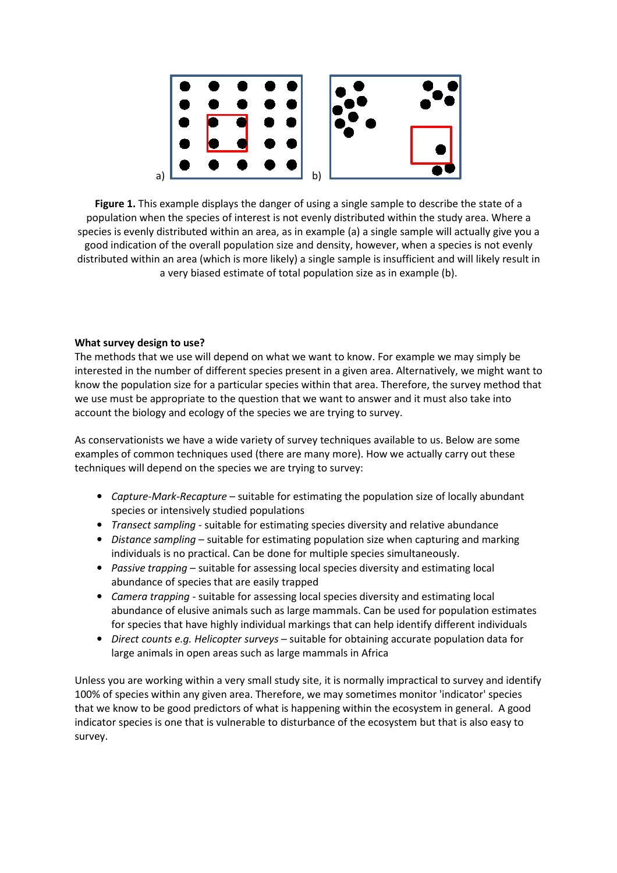

Figure 1. This example displays the danger of using a single sample to describe the state of a population when the species of interest is not evenly distributed within the study area. Where a species is evenly distributed within an area, as in example (a) a single sample will actually give you a good indication of the overall population size and density, however, when a species is not evenly distributed within an area (which is more likely) a single sample is insufficient and will likely result in a very biased estimate of total population size as in example (b).

# What survey design to use?

The methods that we use will depend on what we want to know. For example we may simply be interested in the number of different species present in a given area. Alternatively, we might want to know the population size for a particular species within that area. Therefore, the survey method that we use must be appropriate to the question that we want to answer and it must also take into account the biology and ecology of the species we are trying to survey.

As conservationists we have a wide variety of survey techniques available to us. Below are some examples of common techniques used (there are many more). How we actually carry out these techniques will depend on the species we are trying to survey:

- Capture-Mark-Recapture suitable for estimating the population size of locally abundant species or intensively studied populations
- Transect sampling suitable for estimating species diversity and relative abundance
- Distance sampling suitable for estimating population size when capturing and marking individuals is no practical. Can be done for multiple species simultaneously.
- Passive trapping suitable for assessing local species diversity and estimating local abundance of species that are easily trapped
- Camera trapping suitable for assessing local species diversity and estimating local abundance of elusive animals such as large mammals. Can be used for population estimates for species that have highly individual markings that can help identify different individuals
- Direct counts e.g. Helicopter surveys suitable for obtaining accurate population data for large animals in open areas such as large mammals in Africa

Unless you are working within a very small study site, it is normally impractical to survey and identify 100% of species within any given area. Therefore, we may sometimes monitor 'indicator' species that we know to be good predictors of what is happening within the ecosystem in general. A good indicator species is one that is vulnerable to disturbance of the ecosystem but that is also easy to survey.